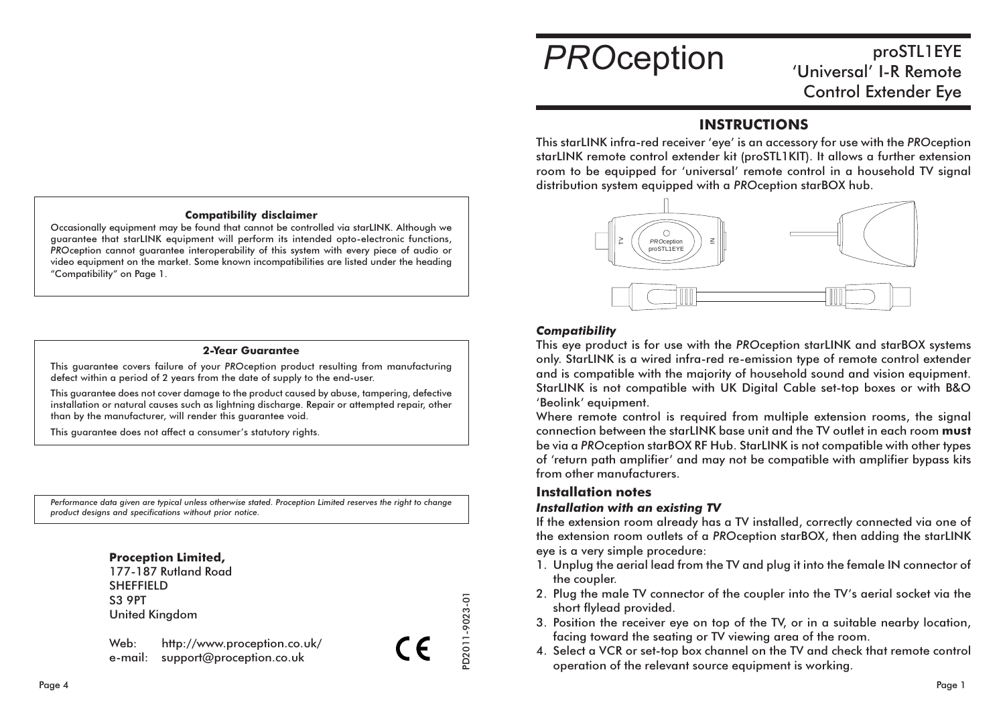# **PROception**

proSTL1EYE 'Universal' I-R Remote **Control Extender Eye** 

# **INSTRUCTIONS**

This starLINK infra-red receiver 'eye' is an accessory for use with the PROception starLINK remote control extender kit (proSTL1KIT). It allows a further extension room to be equipped for 'universal' remote control in a household TV signal distribution system equipped with a PROception starBOX hub.



## **Compatibility**

This eye product is for use with the PROception starLINK and starBOX systems only. StarLINK is a wired infra-red re-emission type of remote control extender and is compatible with the majority of household sound and vision equipment. StarLINK is not compatible with UK Digital Cable set-top boxes or with B&O 'Beolink' equipment.

Where remote control is required from multiple extension rooms, the signal connection between the starLINK base unit and the TV outlet in each room must be via a PROception starBOX RF Hub. StarLINK is not compatible with other types of 'return path amplifier' and may not be compatible with amplifier bypass kits from other manufacturers.

## **Installation notes**

## **Installation with an existing TV**

If the extension room already has a TV installed, correctly connected via one of the extension room outlets of a PROception starBOX, then adding the starLINK eye is a very simple procedure:

- 1. Unplug the aerial lead from the TV and plug it into the female IN connector of the coupler.
- 2. Plug the male TV connector of the coupler into the TV's aerial socket via the short flylead provided.
- 3. Position the receiver eye on top of the TV, or in a suitable nearby location, facing toward the seating or TV viewing area of the room.
- 4. Select a VCR or set-top box channel on the TV and check that remote control operation of the relevant source equipment is working.

#### **Compatibility disclaimer**

Occasionally equipment may be found that cannot be controlled via starLINK. Although we augrantee that starLINK equipment will perform its intended opto-electronic functions. PROception cannot guarantee interoperability of this system with every piece of audio or video equipment on the market. Some known incompatibilities are listed under the heading "Compatibility" on Page 1.

#### **2-Year Guarantee**

This quarantee covers failure of your PROception product resulting from manufacturing defect within a period of 2 years from the date of supply to the end-user.

This quarantee does not cover damage to the product caused by abuse, tampering, defective installation or natural causes such as lightning discharge. Repair or attempted repair, other than by the manufacturer, will render this guarantee void.

This quarantee does not affect a consumer's statutory rights.

Performance data given are typical unless otherwise stated. Proception Limited reserves the right to change product designs and specifications without prior notice.

## **Proception Limited.**

177-187 Rutland Road **SHEFFIELD S3 9PT United Kingdom** 

Web: http://www.proception.co.uk/ e-mail: support@proception.co.uk

CE